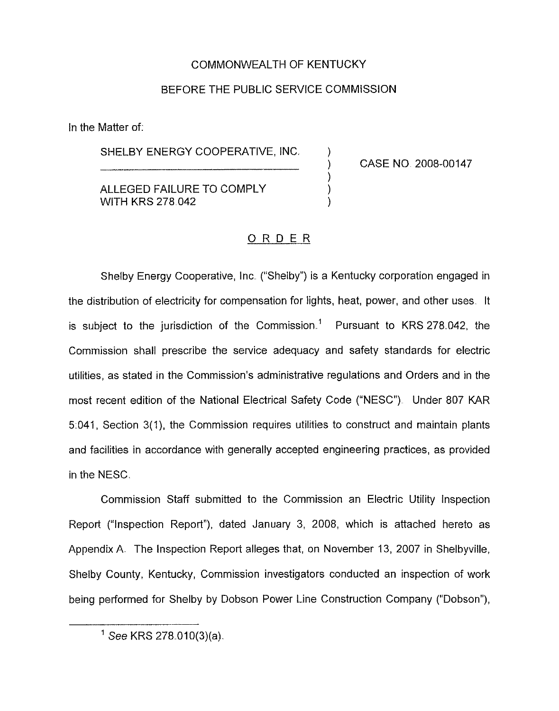### COMMONWEALTH OF KENTUCKY

### BEFORE THE PUBLIC SERVICE COMMISSION

)

) ) )

In the Matter of:

SHELBY ENERGY COOPERATIVE, INC,

ALLEGED FAILURE TO COMPLY WITH KRS 278 042

) CASE NO 2008-00147

### ORDER

Shelby Energy Cooperative, Inc. ("Shelby") is a Kentucky corporation engaged ir the distribution of electricity for compensation for lights, heat, power, and other uses. It is subject to the jurisdiction of the Commission.<sup>1</sup> Pursuant to KRS 278.042, the Commission shall prescribe the service adequacy and safety standards for electric utilities, as stated in the Commission's administrative regulations and Orders and in the most recent edition of the National Electrical Safety Code ("NESC"). Under 807 KAR 5.041, Section 3(1), the Commission requires utilities to construct and maintain plants and facilities in accordance with generally accepted engineering practices, as provided in the NESC,

Commission Staff submitted to the Commission an Electric Utility Inspection Report ("Inspection Report"), dated January 3, 2008, which is attached hereto as Appendix A. The inspection Report alleges that, on November 13, 2007 in Shelbyville, Shelby County, Kentucky, Commission investigators conducted an inspection of work being performed for Shelby by Dobson Power Line Construction Company ("Dobson"),

 $1$  See KRS 278.010(3)(a).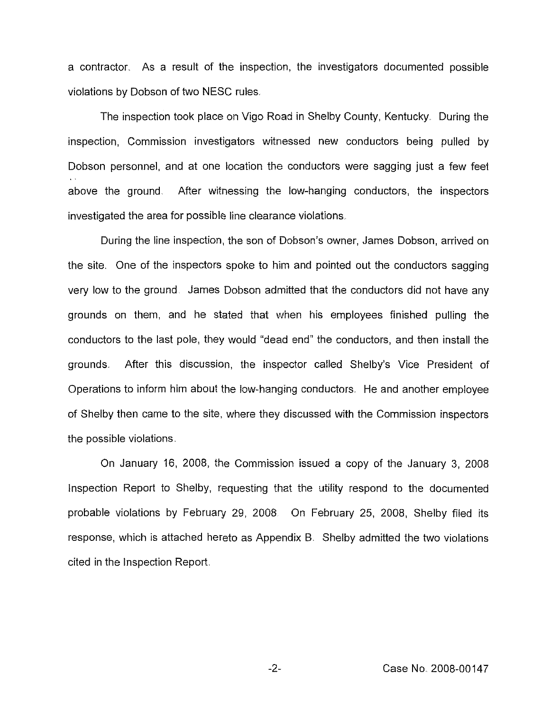a contractor. As a result of the inspection, the investigators documented possible violations by Dobson of two NESG rules.

The inspection took place on Vigo Road in Shelby County, Kentucky. During the inspection, Commission investigators witnessed new conductors being pulled by Dobson personnel, and at one location the conductors were sagging just a few feet above the ground. After witnessing the low-hanging conductors, the inspectors investigated the area for possible line clearance violations.

During the line inspection, the son of Dobson's owner, James Dobson, arrived on the site. One of the inspectors spoke to him and pointed out the conductors sagging very low to the ground. James Dobson admitted that the conductors did not have any grounds on them, and he stated that when his employees finished pulling the conductors to the last pole, they would "dead end" the conductors, and then install the grounds. After this discussion, the inspector called Shelby's Vice President of Operations to inform him about the low-hanging conductors. He and another employee of Shelby then came to the site, where they discussed with the Commission inspectors the possible violations

On January 16, 2008, the Commission issued a copy of the January 3, 2008 Inspection Report to Shelby, requesting that the utility respond to the documented probable violations by February 29, 2008 On February 25, 2008, Shelby filed its response, which is attached hereto as Appendix B. Shelby admitted the two violations cited in the Inspection Report

 $-2-$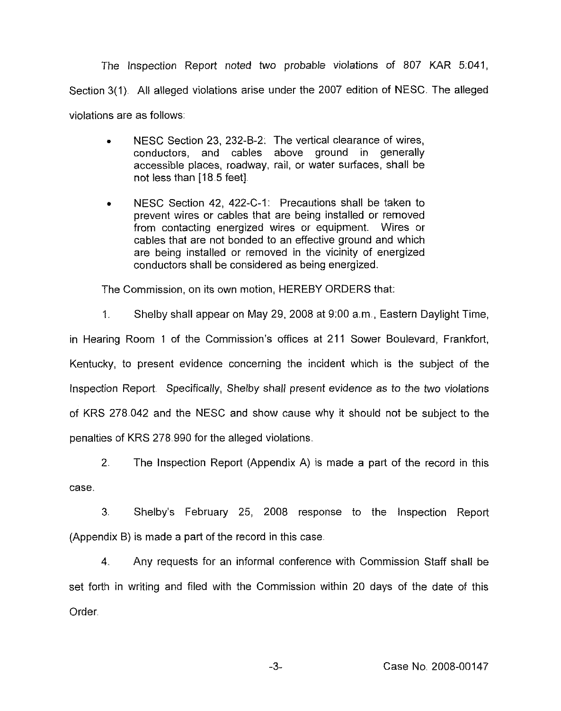The Inspection Report noted two probable violations of 807 KAR 5:041, Section 3(1) All alleged violations arise under the 2007 edition of NESC. The alleged violations are as follows.

- NESC Section 23, 232-B-2: The vertical clearance of wires,<br>conductors, and cables above ground in generally conductors, and cables above ground in generally accessible places, roadway, rail, or water surfaces, shall be not less than [18 5 feet]
- <sup>~</sup> NESC Section 42, 422-C-1: Precautions shall be taken to prevent wires or cables that are being installed or removed from contacting energized wires or equipment. Wires or cables that are not bonded to an effective ground and which are being installed or removed in the vicinity of energized conductors shall be considered as being energized.

The Commission, on its own motion, HEREBY ORDERS that:

1. Shelby shall appear on May 29, 2008 at 9:00 a.m., Eastern Daylight Time,

in Hearing Room <sup>1</sup> of the Commission's offices at 211 Sower Boulevard, Frankfort, Kentucky, to present evidence concerning the incident which is the subject of the Inspection Report. Specifically, Shelby shali present evidence as to the two violations of KRS 278.042 and the NESC and show cause why it should not be subject to the penalties of KRS 278 990 for the alleged violations.

2. The Inspection Report (Appendix A) is made a part of the record in this

case.

3. Shelby's February 25, 2008 response to the Inspection Report (Appendix B) is made a part of the record in this case

4. Any requests for an informal conference with Commission Staff shall be set forth in writing and filed with the Commission within 20 days of the date of this Order

-3-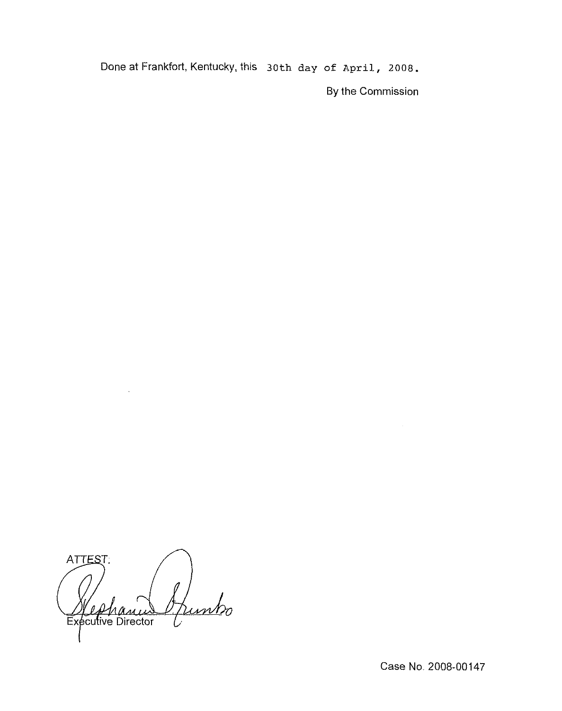Done at Frankfort, Kentucky, this 30th day of April, 2008.

By the Commission

ATTEST. Jumbo Expcutive Director

 $\sim$ 

Case No. 2008-00147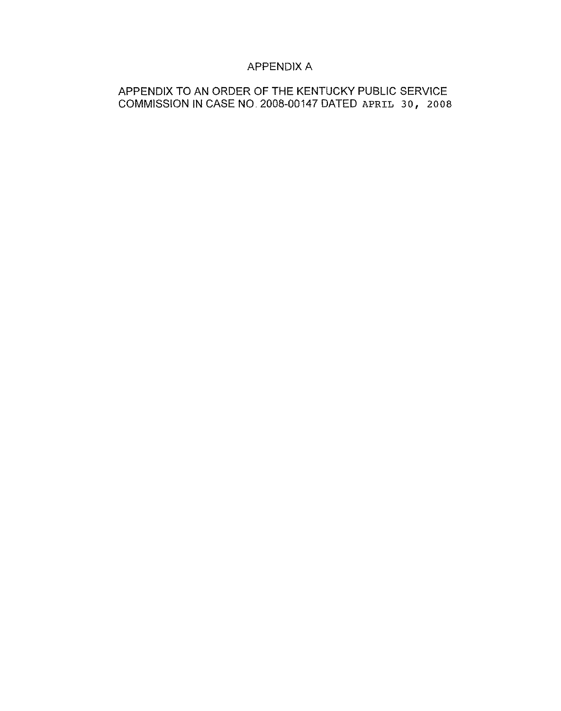## APPENDIX A

## APPENDIX TO AN ORDER OF THE KENTUCKY PUBLIC SERVICE COMMISSION IN CASE NO. 2008-00147 DATED APRIL 30, 2008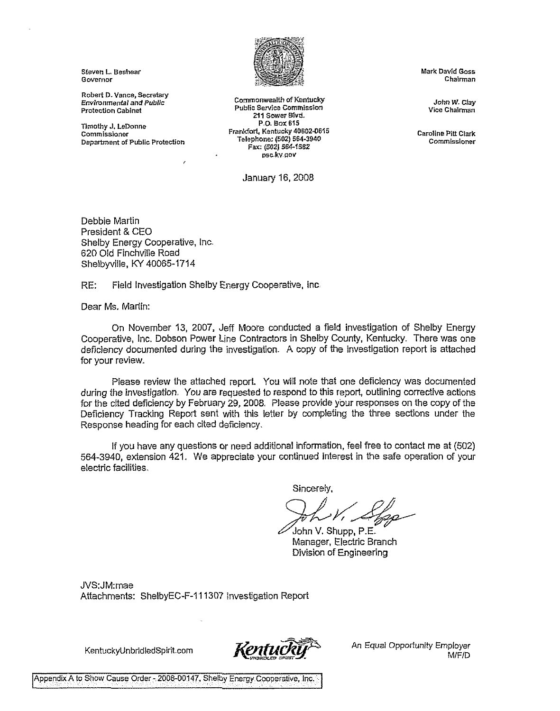Steven L. Beshear Governor

Robert D. Vance, Secretary Environmental and public Protection Cabinet

Timothy J. LeDonne Commissioner Department of Public Protection



Commonwealth of Keniucky Public Service Commission 211 Sower Blvd. P.O. BDX 615 Frankfort, Kentucky 40602-0615 Telephone: (502) 564-3940 Fax: (502) 564-1582 psc.kv nov

January 16, 2008

**Mark David Goss** Chairman

> John W. Clay Vice Chairman

Caroline Pitt Clark Commissioner

Debbie Martin President 8 CEO Shelby Energy Cooperative, Inc. 620 Old Finchville Road Shelbyville, KY 40065-1714

RE: Field Investigation Shelby Energy Cooperative, Inc

f.

Dear Ms. Martin:

On November 13, 2007, Jeff Moore conducted a field investigation of Shelby Energy Cooperative, Inc. Dobson Power Line Contractors in Shelby County, Kentucky. There was one deficiency documented during the investigation. A copy of the investigation report is attached for your review.

Please review the attached reporL You will note that one deficiency was documented during the investigation. You are requested to respond to this report, outlining corrective actions for the cited deticiency by February 29, 2008. Please provide ybur responses on the copy of the Deficiency Tracking Report sent with this letter by completing the three sections under the Response heading for each cited deticiency.

If you have any questions or need additional information, feel free to contact me at (502) 564-3940, extension 421. We appreciate your continued interest in the safe operation of your electric facilities.

Sincerely.

John V. Shupp, P.E. Manager, Electric Branch Division of Engineering

JVS:JM:mae Attachments: ShelbyEC-F-111307 investigation Report



M/F/0

Appendix A to Show Cause Order - 2008-00147, Shelby Energy Cooperative, Inc.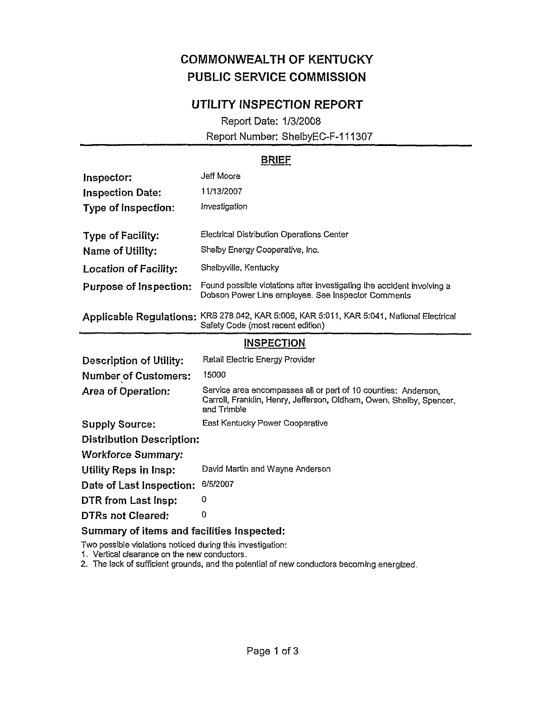# COMMONWEALTH OF KENTUCKY PUBLIC SERVICE COMMISSION

## UTILITY INSPECTION REPORT

Report Date: 1/3/2008 Report Number: ShelbyEC-F-111307

### BRIEF

| Inspector:                                 | Jeff Moore                                                                                                                                           |  |  |  |
|--------------------------------------------|------------------------------------------------------------------------------------------------------------------------------------------------------|--|--|--|
| <b>Inspection Date:</b>                    | 11/13/2007                                                                                                                                           |  |  |  |
| Type of Inspection:                        | Investigation                                                                                                                                        |  |  |  |
|                                            |                                                                                                                                                      |  |  |  |
| Type of Facility:                          | Electrical Distribution Operations Center                                                                                                            |  |  |  |
| Name of Utility:                           | Shelby Energy Cooperative, Inc.                                                                                                                      |  |  |  |
| Location of Facility:                      | Shelbyville, Kentucky                                                                                                                                |  |  |  |
| Purpose of Inspection:                     | Found possible violations after investigating the accident involving a<br>Dobson Power Line employee. See Inspector Comments                         |  |  |  |
|                                            | Applicable Regulations: KRS 278.042, KAR 5:006, KAR 5:011, KAR 5:041, National Electrical<br>Safety Code (most recent edition)                       |  |  |  |
| <b>INSPECTION</b>                          |                                                                                                                                                      |  |  |  |
| <b>Description of Utility:</b>             | Retail Electric Energy Provider                                                                                                                      |  |  |  |
| <b>Number of Customers:</b>                | 15000                                                                                                                                                |  |  |  |
| Area of Operation:                         | Service area encompasses all or part of 10 counties: Anderson,<br>Carroll, Franklin, Henry, Jefferson, Oldham, Owen, Shelby, Spencer,<br>and Trimble |  |  |  |
| <b>Supply Source:</b>                      | East Kentucky Power Cooperative                                                                                                                      |  |  |  |
| <b>Distribution Description:</b>           |                                                                                                                                                      |  |  |  |
| <b>Workforce Summary:</b>                  |                                                                                                                                                      |  |  |  |
| <b>Utility Reps in Insp:</b>               | David Martin and Wayne Anderson                                                                                                                      |  |  |  |
| Date of Last Inspection:                   | 6/5/2007                                                                                                                                             |  |  |  |
| DTR from Last Insp:                        | 0                                                                                                                                                    |  |  |  |
| <b>DTRs not Cleared:</b>                   | 0                                                                                                                                                    |  |  |  |
| Summary of items and facilities Inspected: |                                                                                                                                                      |  |  |  |

Two possible violations noticed during this investigation:

1. Vertical clearance on the new conductors.

2. The lack of sufficient grounds, and the potentiat of new conductors becoming energized.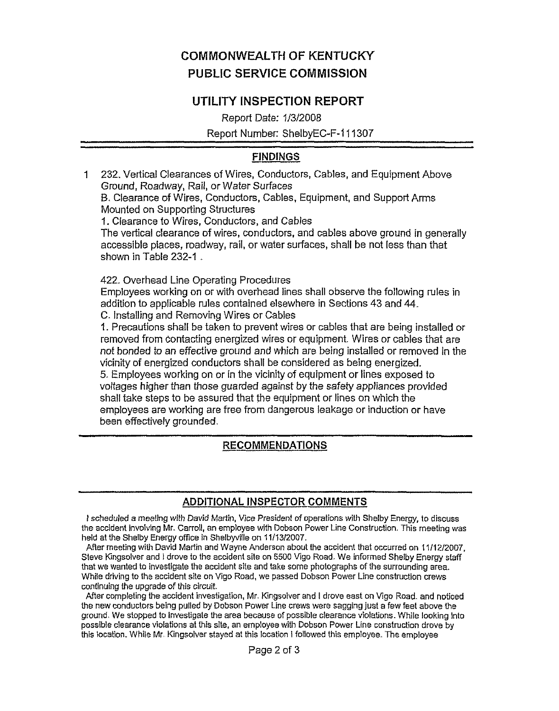# COMMONWEALTII OF KENTUCKY PUBLIC SERVICE COMMISSION

## UTILITY INSPECTION REPORT

Report Date: 1/3/2008

Report Number. ShelbyEC-F-111307

## FINDINGS

<sup>1</sup> 232. Vertical Clearances of Wires, Conductors, Cables, and Equipment Above Ground, Roadway, Rail, or Water Surfaces B. Clearance of Wires, Conductors, Cables, Equipment, and Support Arms Mounted on Supporting Structures 1.Ciearance to Wires, Conductors, and Cables The vertical clearance of wires, conductors, and cables above ground in generally accessible places, roadway, rail, or water surfaces, shall be not less than that shown in Table 232-1 . 422. Overhead Line Operating Procedures Employees working on or with overhead lines shall observe the following rules in

addition to applicable rules contained elsewhere in Sections 43 and 44.

C. Installing and Removing Wires or Cables

1. Precautions shall be taken to prevent wires or cables that are being installed or removed from contacting energized wires or equipment. Wires or cables that are not bonded to an effective ground and which are being installed or removed in the vicinity of energized conductors shall be considered as being energized.

5. Employees working on or in the vicinity of equipment or lines exposed to voltages higher than those guarded against by the safety appliances provided shall take steps to be assured that the equipment or lines on which the employees are working are free from dangerous leakage or induction or have been effectively grounded.

## RECOMMENDATIONS

## ADDITIONAL INSPECTOR COMMENTS

<sup>l</sup> scheduled a meeting with David Martin, Vice President of operations with Shelby Energy, to discuss the accident involving Mr. Carroll, an employee with Dobson Power Line Construction, This meeting was held at the Shelby Energy office in Shelbyville on 11/13/2007.

After meeting with David Martin and Wayne Anderson about the accident that occurred on 11/12/2007, Sieve Kingsolver and <sup>l</sup> drove to the accident site on 5500 Vigo Road. We informed Shelby Energy staff that we wanted to investigate the accident site and take some photographs of the surrounding area. Whiie driving to the accident site on Vigo Road, we passed Dobson Power Line construction crews continuing ihe upgrade of this circuit.

After completing the accident investigation, Mr. Kingsolver and <sup>I</sup> drove east on Vigo Road. and noticed the new conductors being pulled by Dobson Power Line crews were sagging just a few feet above the ground, We stopped to investigate the area because of possible clearance violations. While looking into possible clearance violations at this site, an employee with Dobson Power Line construction drove by this location. While Mr, Kingsolver stayed at this loration <sup>1</sup> followed this employee. 'The employee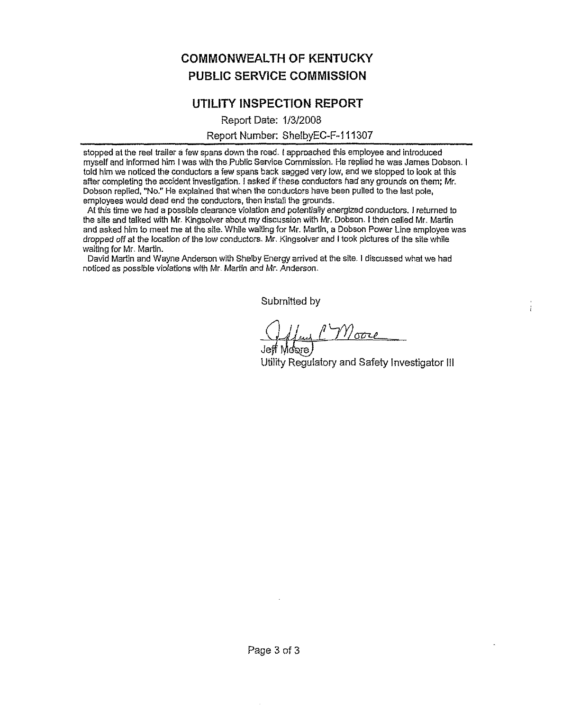# COMMONWEALTH OF KENTUCKY PUBLIC SERVICE COMMISSION

## UTILITY INSPECTION REPORT

Report Date: 1/3/2008

Report Number: ShelbyEC-F-111307

stopped at the reel trailer a few spans dovm the road. <sup>I</sup> approached Ihis employee and introduced myself and informed him I was with the Public Service Commission. He replied he was James Dobson. I told him we noticed the conductors a few spans back sagged very low, and we stopped to look at this after completing the accident investigation. I asked if these conductors had any grounds on them; Mr, Dobson replied, "No." He explained that when the conductors have been pulled to the last pole, employees would dead end the conductors, then install the grounds.

At this time we had a possible clearance violation and potentially energized conductors. <sup>I</sup> returned to the site and talked viith Mr. Kingsolver about my discussion with Mr. Dobson, <sup>I</sup> then called Mr. Martin and asked him to meet me at the site. While waiting for Mr. Martin, a Dobson Power Line employee was dropped off at the location of the low conductors. Mr, Kingsolver and <sup>I</sup> took pictures of the site while waiting for Mr. Martin.

David Martin and Wayne Anderson with Sheiby Energy arrived at the site. <sup>I</sup> discussed what we had noticed as possible violations with Mr. Martin and Mr. Anderson

Submitted by

1 Moore

Utility Regulatory and Safety Investigator I!<sup>I</sup>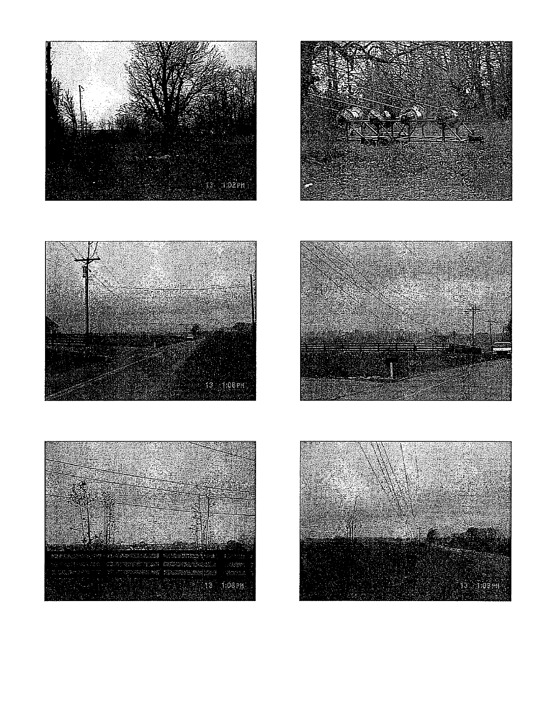







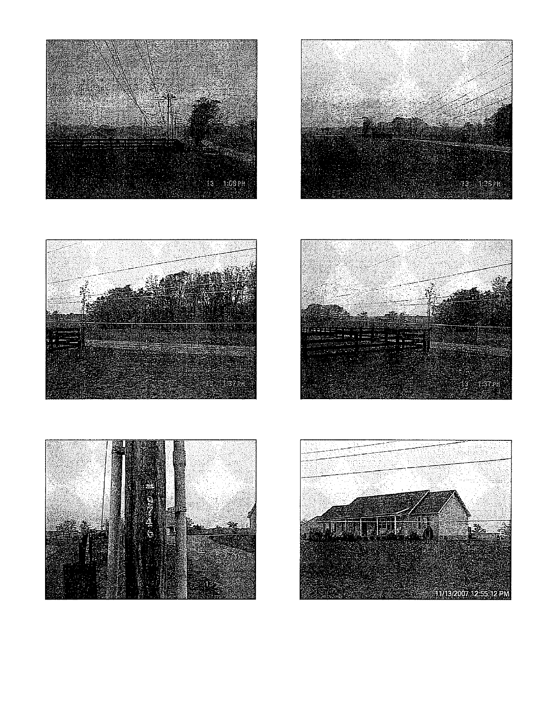









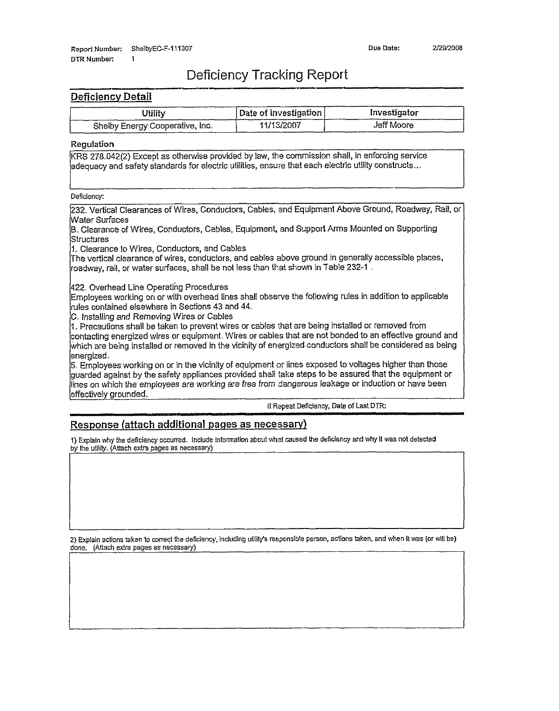| Report Number:<br>DTR Number: | ShelbvEC-F-111307               |                                                                                                | Due Date:    | 2/29/2008 |  |
|-------------------------------|---------------------------------|------------------------------------------------------------------------------------------------|--------------|-----------|--|
| Deficiency Tracking Report    |                                 |                                                                                                |              |           |  |
| <b>Deficiency Detail</b>      |                                 |                                                                                                |              |           |  |
|                               | Utility                         | Date of Investigation                                                                          | Investigator |           |  |
|                               | Shelby Energy Cooperative, Inc. | 11/13/2007                                                                                     | Jeff Moore   |           |  |
| Regulation                    |                                 |                                                                                                |              |           |  |
|                               |                                 | KRS 278.042(2) Except as otherwise provided by law, the commission shall, in enforcing service |              |           |  |

### Regulation

KRS 278.042(2) Except as otherwise provided by law, the commission shall, in enforcing service adequacy and safety standards for electric utilities, ensure that each electric utility constructs...

### Deficiency:

232. Vertical Clearances of Wires, Conductors, Cabfes, and Equipment Above Ground, Roadway, Rail, or Water Surfaces

B. Clearance of Wires, Conductors, Cables, Equipment, and Support Arms Mounted on Supporting Structures

1. Clearance to Wires, Conductors, and Cables

The vertical clearance of wires, conductors, and cables above ground in generally accessible places, roadway, rail, or water surfaces, shall be not less than that shown in Table 232-1 .

422. Overhead Line Operafihg Procedures

Employees working on or with overhead lines shall observe the following rules in addition to applicable rules contained elsewhere in Sections 43 and 44.

C. Installing and Removing Wires or Cables

1. Precautions shall be taken to prevent wires or cables that are being installed or removed from contacting energized wires or equipment. Wires or cables that are not bonded to an effective ground and which are being installed or removed in the vicinity of energized conductors shall be considered as being energized.

5. Employees working on or in the vicinity of equipment or lines exposed to voltages higher than those guarded against by the safety appliances provided shafl take steps to be assured that the equipment or fines on which the employees are working are free from dangerous leakage or induction or have been effectively grounded.

If Repeat Deficiency, Date of Last DTR;

### Response (attach additional pages as necessary)

1) Explain why the deficiency occurred. Include information about what caused the deficiency and why it was not detected by Ihe utility. (Attach extra pages as necessary)

2) Explain actions taken to correct the deficiency, including utility's responsible person, actions taken, and when it was (or will be) done. (Attach extra pages as necessary)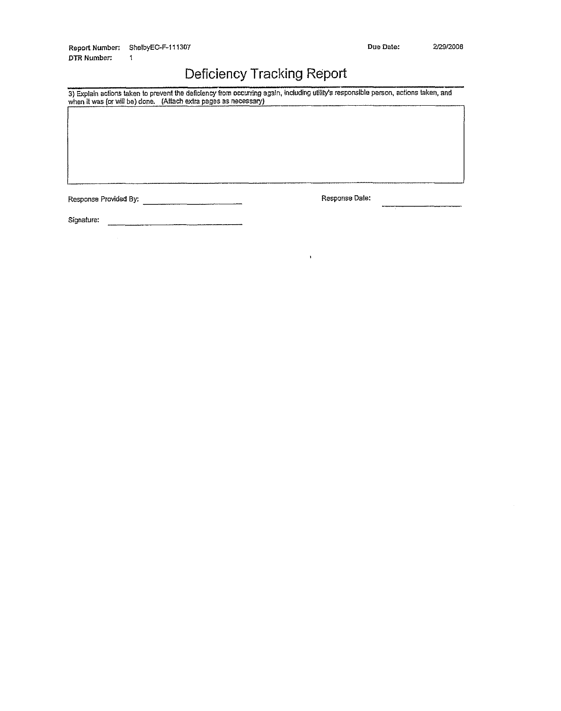Report Number: ShelbyEC-F-111307<br>DTR Number: 1 DTR Number: 1

# Deficiency Tracking Report

3) Explain actions taken to prevent the deficiency from occurring again, including utility's responsible person, actions taken, and<br>when it was (or will be) done. (Attach extra pages as necessary)

Response Provided By: <u>Community Community Constantine Response Date:</u>

 $\mathbf{r}$ 

Signature: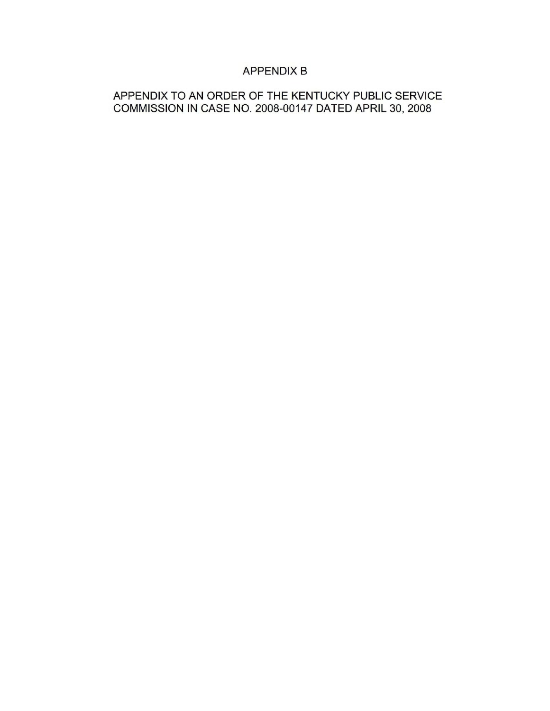## APPENDIX B

## APPENDIX TO AN ORDER OF THE KENTUCKY PUBLIC SERVICE COMMISSION IN CASE NO. 2008-00147 DATED APRIL 30, 2008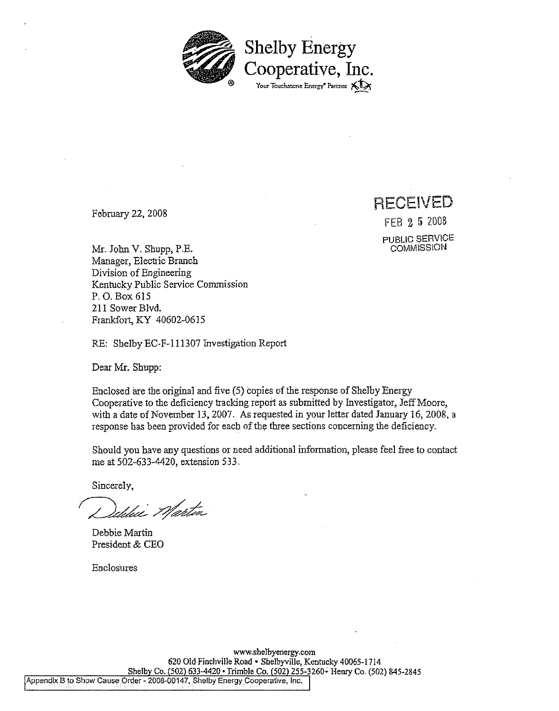

Shelby Energy Cooperative, Inc. Your Touchstone Energy' Partner  $\overbrace{\phantom{A}}$ 

February 22, 2008

RECEIVED FEB 25 ZUU8 PUBLIC SERVICE **COMMISSION** 

Mr. John V, Shupp, P.E. Manager, Electric Branch Division of Engineering Kentucky Public Service Commission P. O. Box 615 211 Sower Blvd. Frankfort, KY 40602-0615

RE: Shelby EC-F-111307 Investigation Report

Dear Mr. Shupp:

Enclosed 'are the original and five (5) copies of the response of Shelby Energy Cooperative to the deficiency tracking report as submitted by Investigator, Jeff Moore, with a date of November 13, 2007. As requested in your letter dated January 16, 2008, <sup>a</sup> response has been provided for each of the three sections concerning the deficiency.

Should you have any questions or need additional information, please feel free to contact me at 502-633-4420, extension 533.

Sincerely,

ddie Nartu

Debbie Martin President & CEO

Enclosures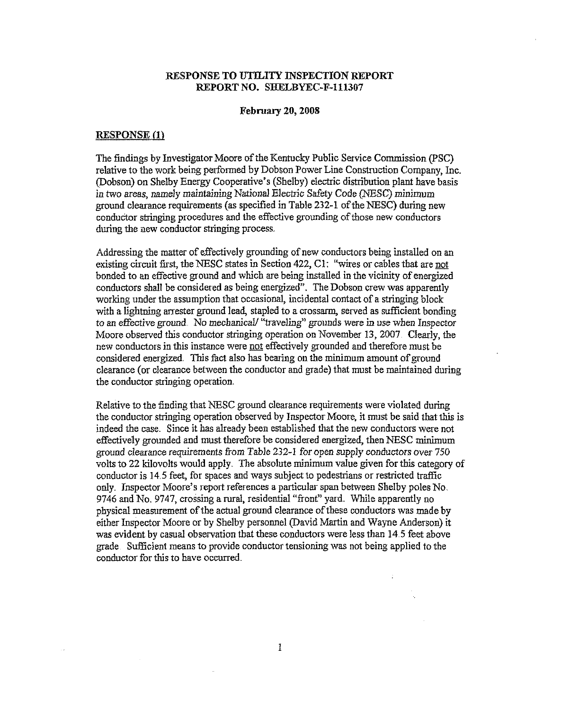### RESPONSE TO UTILITY INSPECTION REPORT REPORT NO. SHELBYEC-F-111307

### February 20, 2008

### $RESPONSE(1)$

The findings by Investigator Moore of the Kentucky Public Service Commission (PSC) relative to the work being performed by Dobson Power Line Construction Company, Inc. (Dobson) on Shelby Energy Cooperative's (Shelby) electric distribution plant have basis in two areas, namely maintaining National Electric Safety Code (NESC) minimum ground clearance requirements (as specified in Table 232-1 ofthe NESC) during new conductor stringing procedures and the effective grounding of'those new conductors during the new conductor stringing process.

Addressing the matter of effectively grounding of new conductors being installed on an existing circuit first, the NESC states in Section 422, Cl: "wires or cables that are not bonded to an effective ground and which are being installed in the vicinity of energized conductors shall be considered as being energized". The Dobson crew was apparently working under the assumption that occasional, incidental contact of a stringing block with a lightning arrester ground lead, stapled to a crossarm, served as sufficient bonding to an effective ground. No mechanical/ "traveling" grounds were in use when Inspector Moore observed this conductor stringing operation on November 13, 2007 Clearly, the new conductors in this instance were not effectively grounded and therefore must be considered energized. This fact also has bearing on the minimum amount of ground clearance (or clearance between the conductor and grade) that must be maintained during the conductor stringing operation.

Relative to the finding that NESC ground clearance requirements were violated during the conductor stringing operation observed by inspector Moore, it must be said that this is indeed the case. Since it has already been established that the new conductors were not effectively grounded and must therefore be considered energized, then NESC minimum ground clearance requirements fiom Table 232-1 for open supply conductors over 750 volts to 22 kilovolts would apply. The absolute minimum value given for this category of conductor is 14.5 feet, for spaces and ways subject to pedestrians or restricted traffic only. Inspector Moore's report references a particular span between Shelby poles No. 9746 and No. 9747, crossing a rural, residential "front" yard. While apparently no physical measurement of the actual ground clearance of these conductors was made by either Inspector Moore or by Shelby personnel (David Martin and Wayne Anderson) it was evident by casual observation that these conductors were less than 14.5 feet above grade Sufficient means to provide conductor tensioning was not being applied to the conductor for this to have occurred.

 $\mathbf{I}$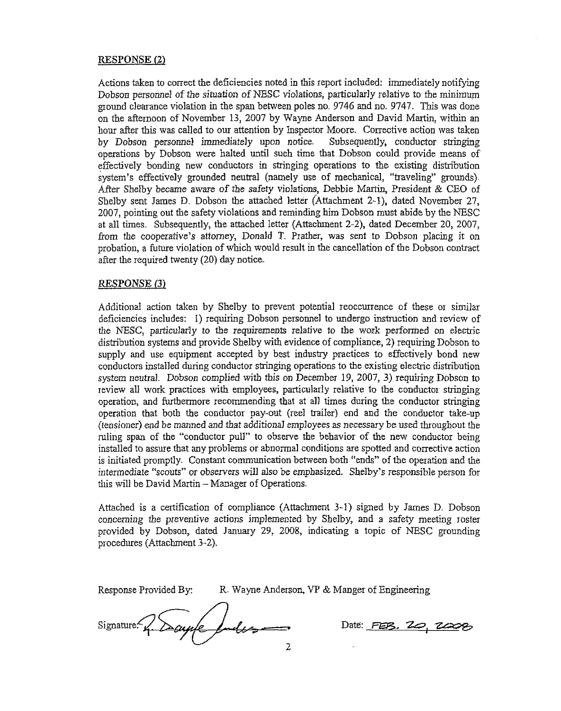### RESPONSE (2)

Actions taken to correct the deficiencies noted in this report included: immediately notifying Dobson personnel of the situation of NESC violations, particularly relative to the minimum ground c]earance violation in the span between poles no. 9746 and no. 9747. This was done on the afternoon of November 13, 2007 by Wayne Anderson and David Martin, within an hour after this was called to our attention by Inspector Moore. Corrective action was taken<br>by Dobson personnel immediately upon notice. Subsequently, conductor stringing by Dobson personnel immediately upon notice. operations by Dobson were halted until such time that Dobson could provide means of effectively bonding new conductors in stringing operations to the existing distribution system's effectively grounded neutral (namely use of mechanical, "traveling" grounds). After Shelby became aware of the safety violations, Debbie Martin, President & CEO of son cou<br>to the<br>anical,<br>Martin,<br>nt 2-1), Shelby sent James D. Dobson the attached letter (Attachment 2-1), dated November 27, 2007, pointing out the safety violations and reminding him Dobson must abide by the NESC at all times. Subsequently, the attached letter (Attachment 2-2), dated December 20, 2007, from the cooperative's attorney, Donald T. Prather, was sent to Dobson placing it on probation, <sup>a</sup> future violation of which would result in the cancefiation of tbe Dobson contract after the required twenty (20) day notice.

### RESPONSE (3)

Additional action taken by Shelby to prevent potential reoccurrence of these or similar deficiencies includes: I) requiring Dobson personnel to undergo instruction and review of the NESC, particularly to the requirements relative to the work performed on electric distribution systems and provide Shelby with evidence of compliance, 2) requiring Dobson to supply and use equipment accepted by best industry practices to effectively bond new conductors instal]ed during conductor stringing operations to the existing electric distribution system neutral. Dobson complied with this on December 19, 2007, 3) requiring Dobson to review all work practices with employees, particularly relative to the conductor stringing operation, and furthermore recommending that at all times during the conductor stringing operation that both the conductor pay-out (reel trailer} end and the conductor take-up (tensioner) end be manned and that additions] employees as necessary be used throughout the ruling span of the "conductor pu]]" to observe the behavior of the new conductor being installed to assure that any problems or abnormal conditions are spotted and corrective action is initiated promptly. Constant communication between both "ends" of the operation and the intermediate "scouts" or observers will also be emphasized. Shelby's responsible person for this will be David Martin – Manager of Operations.

Attached is a certification of compliance (Attachment 3-1) signed by James D. Dobson concerning the preventive actions implemented by Shelby, and a safety meeting roster provided by Dobson, dated January 29, 200g, indicating <sup>a</sup> topic of NESC grounding procedures (Attachment 3-2).

Response Provided By: R. Wayne Anderson, VP & Manger of Engineering

Signature. 2 Dayse Judes

Date: PEB. 20, 2008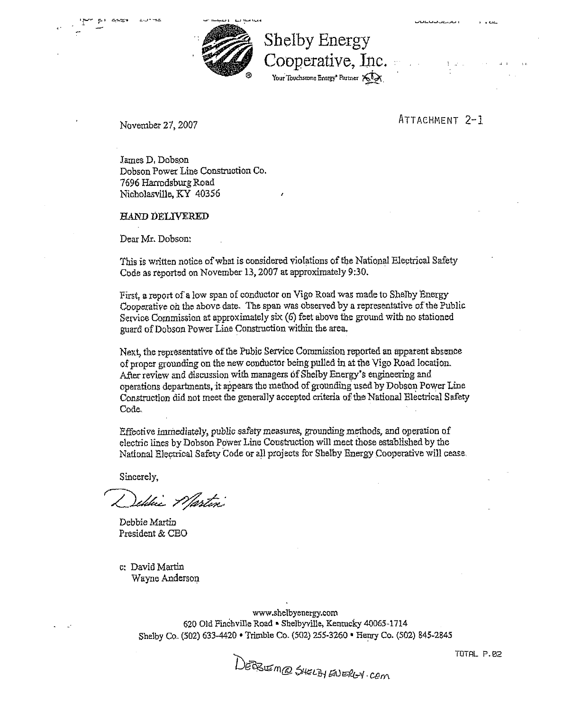

November 27, 2007  $\blacksquare$ 

James D, Dobson Dobson Power Line Construotion Co. 7696 Harrodsburg Road Nicholasville, KY 40356

HAND DELIVERED

Dear Mr. Dobson:

This is written notice of what is considered violations of the National Electrical Safety Code as reported on November 13,2007 at approximately 9:30,

Shelby Energy

Cooperative, Inc. Your Touchsmne Energy' Partner  $\mathbb{Z}$ 

Pirst, a report of a low span of conductor on Vigo Road was made to Shelby Energy Cooperative on the above date. The span was observed by a representative of the Public Service Commission at approximately six (6) feet above the ground with no stationed guard of Dobson Power Line Construction within the area.

Next, the representative of the Pubic Service Commission reported an apparent absence of proper grounding on the new conductor being pulled in at tbe Vigo Road location, After review and discussion with managers of Shelby Energy's engineering and operations departments, it appears the method of grounding used by Dobson Power Line Construction did not meet the generally accepted criteria of the National Electrical Safety Code,

Effective immediately, public safety measures, grounding methods, and operation of electric lines by Dobson Power Line Coustruction will meet those established by the National Eleetrical Safety Code or all projects for Shelby Energy Cooperative will cease

Sincerely

Deblic Martin

Debbie Martin President & CEO

c: David Martin Wayne Anderson

> www.shelby energy.corn 620 Old Finchville Road • Shelbyville, Kentucky 40065-1714 Shelby Co, (502) 633-4420 <sup>~</sup> Trimhle Co. (502) 255-3260 <sup>~</sup> Henry Co. (502) 345-2345

DEBRUEM@ SHELBY ENERGY.COM

TOTAL P.82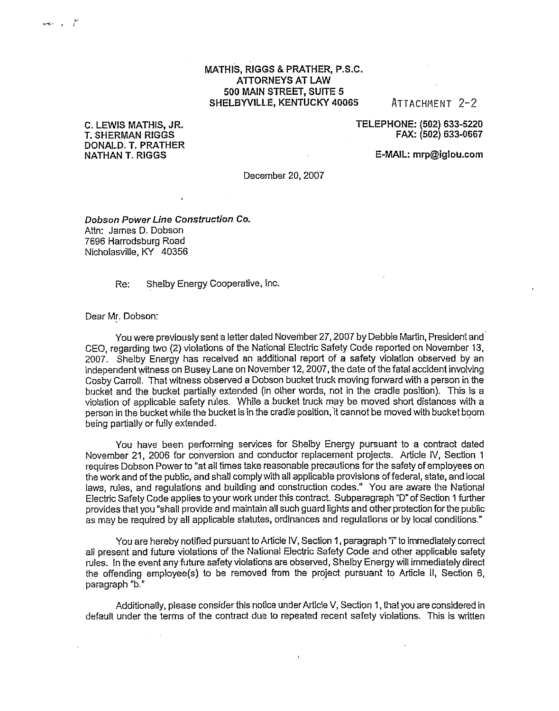### MATHIS, RIGGS <sup>B</sup> PRATHER, P.S,C. ATTORNEYS AT LAW 500 MAIN STREET, SUITE 5 SHELBYVILLE, KENTUCKY 40065 ATTACHMENT 2-2

C. LEWIS MATHIS, JR. T. SHERMAN RfGGS DONALD. T. PRATHER NATHAN T. RIGGS

TELEPHONE: (502) 633-5220 FAX: (502) 633-0667

E-MAIL:mrp@iglou,corn

December 20, 2007

Dobson Power Line Construction Go. Attn: James D. Dobson 7696 Harrodsburg Road Nicholasville, KY 40356

Re: Shelby Energy Cooperative, Inc.

Dear Mr. Dobson

You were previously sent a letter dated November 27, 2007 by Debbie Martin, President and CEO, regarding two (2) violations of the National Electric Safety Code reported on November 13, 2007. Shelby Energy has received an additional report of a safety violation observed by an independent witness on Busey Lane on November 12, 2007, the date of the fatal accident involving Cosby Carroll. That witness observed a Dobson bucket truck moving forward with a person in the bucket and the bucket partially extended (in other words, not in the cradle position). This is a violation of applicable safety rules. While a bucket truck may be moved short distances with a person in the bucket while the bucket is in the cradle position, it cannot be moved with bucket boom being partially or fully extended.

You have been performing services for Shelby Energy pursuant to a contract dated November 21, 2006 for conversion and conductor replacement projects. Article IV, Section 1 requires Dobson Power to "at all times take reasonable precautions for the safety of employees on the work and of the public, and shall comply with all applicable provisions offederal, state, and local laws, rules, and regulations and building and construction codes." You are aware the National Electric Safety Code applies to your work under this contract. Subparagraph "D"of Section <sup>1</sup> further provides that you "shall provide and maintain all such guard lights and other protection for the public as may be required by all applicable statutes, ordinances and regulations or by local conditions."

You are hereby notified pursuant to Article IV, Section 1, paragraph "I" to immediately correct all present and future violations of the National Electric Safety Code and other applicable safety rules. In the event any future safety violations are observed, Shelby Energy will immediately direct the offending employee(s) to be removed from the project pursuant to Article II, Section 6, paragraph "b,"

Additionally, please consider this notice under Article V, Section 1, that you are considered in default under the terms of the contract due to repeated recent safety violations. This is written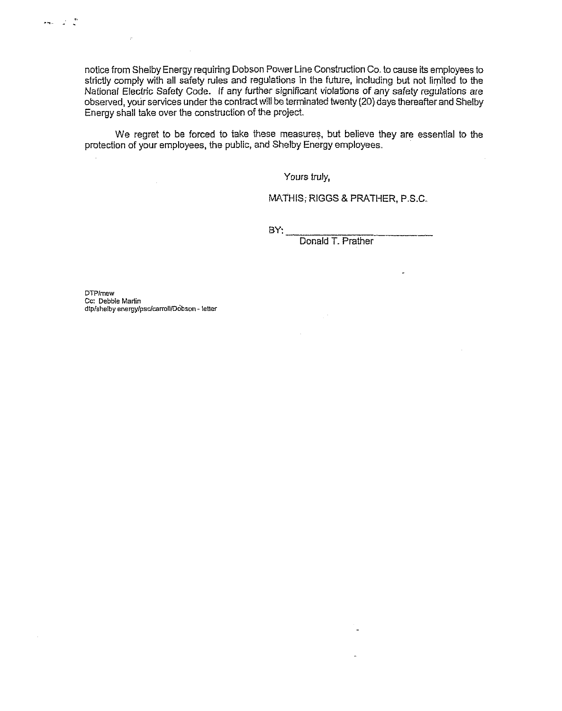$\mathbf{r}$  and  $\mathbf{r}$  and  $\mathbf{r}$ 

notice from Shelby Energy requtring Dobson Power Line Construction Co. to cause its employees to strictly comply with all safety rules and regulations in the future, including but not limited to the National Electric Safety Code. If any further significant violations of any safety regulations are observed, your services under the contract will be terminated twenty (20) days thereafter and Shelby Energy shall take over the construction of the project.

We regret to be forced to take these measures, but believe they are essential to the protection of your employees, the public, and Shelby Energy employees.

Yours truly,

MATHIS; RIGGS & PRATHER, P.S.C.

BY:

Donald T. Prather

 $\hat{\mathcal{A}}$ 

DTP/mew Cc: Debbie Marlin dtp/she/by energy/psc/carro///Dobson - letler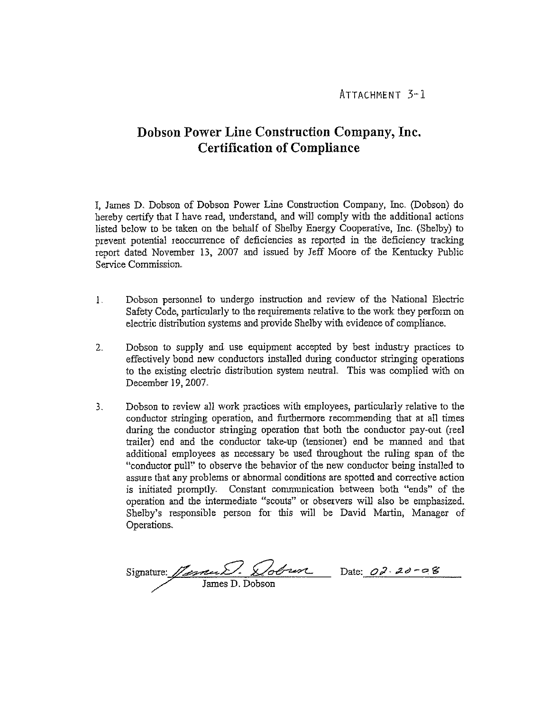# Dobson Power Line Construction Company, Inc. Certification of Compliance

I, James D. Dobson of Dobson Power Line Construction Company, Inc. (Dobson) do hereby certify that I have read, understand, and will comply with the additional actions listed below to be taken on the behalf of Shelby Energy Cooperative, Inc. (Shelby) to prevent potential reoccurrence of deficiencies as reported in the deficiency tracking report dated November 13, 2007 and issued by Jeff Moore of the Kentucky Public Service Commission.

- 1, Dobson personnel to undergo instruction and review of the National Electric Safety Code, particularly to the requirements relative to the work they perform on electric distribution systems and provide Shelby with evidence of compliance.
- $2<sub>1</sub>$ Dobson to supply and use equipment accepted by best industry practices to effectively bond new conductors installed during conductor stringing operations to the existing electric distribution system neutral. This was complied with on December 19, 2007.
- Dobson to review all work practices with employees, particularly relative to the  $\mathbf{3}$ . conductor stringing operation, and furthermore recommending that at all times during the conductor stringing operation that both the conductor pay-out (reel trailer) end and the conductor take-up (tensioner) end be manned and that additional employees as necessary be used throughout the ruling span of the "conductor pull" to observe the behavior of the new conductor being installed to assure that any problems or abnormal conditions are spotted and corrective action is initiated promptly. Constant communication between both "ends" of the operation and the intermediate "scouts" or observers will also be emphasized. Shelby's responsible person fot this will be David Martin, Manager of Operations.

Signature: <u>Nassau D. Dobran</u> Date: 02.20-08 James D. Dobson